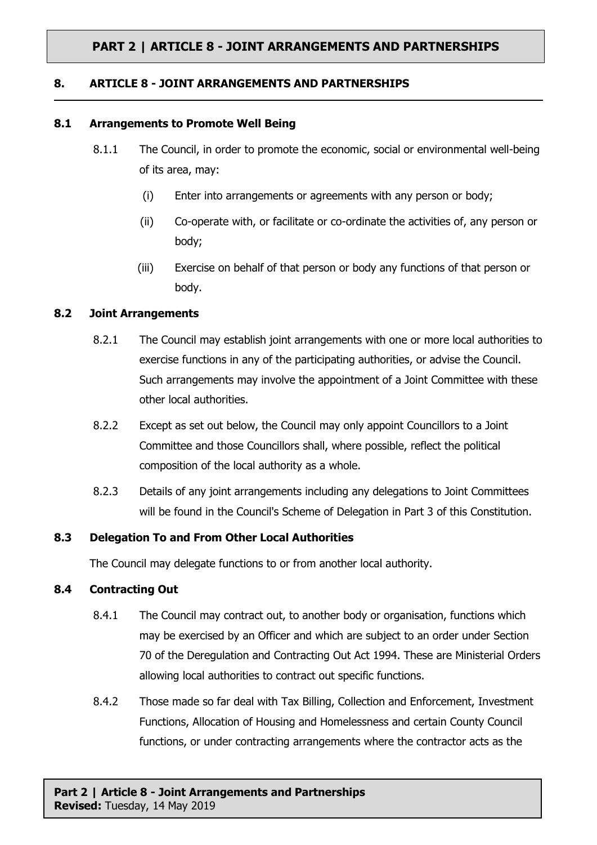# **PART 2 | ARTICLE 8 - JOINT ARRANGEMENTS AND PARTNERSHIPS**

#### **8. ARTICLE 8 - JOINT ARRANGEMENTS AND PARTNERSHIPS**

#### **8.1 Arrangements to Promote Well Being**

- 8.1.1 The Council, in order to promote the economic, social or environmental well-being of its area, may:
	- (i) Enter into arrangements or agreements with any person or body;
	- (ii) Co-operate with, or facilitate or co-ordinate the activities of, any person or body;
	- (iii) Exercise on behalf of that person or body any functions of that person or body.

## **8.2 Joint Arrangements**

- 8.2.1 The Council may establish joint arrangements with one or more local authorities to exercise functions in any of the participating authorities, or advise the Council. Such arrangements may involve the appointment of a Joint Committee with these other local authorities.
- 8.2.2 Except as set out below, the Council may only appoint Councillors to a Joint Committee and those Councillors shall, where possible, reflect the political composition of the local authority as a whole.
- 8.2.3 Details of any joint arrangements including any delegations to Joint Committees will be found in the Council's Scheme of Delegation in Part 3 of this Constitution.

## **8.3 Delegation To and From Other Local Authorities**

The Council may delegate functions to or from another local authority.

## **8.4 Contracting Out**

- 8.4.1 The Council may contract out, to another body or organisation, functions which may be exercised by an Officer and which are subject to an order under Section 70 of the Deregulation and Contracting Out Act 1994. These are Ministerial Orders allowing local authorities to contract out specific functions.
- 8.4.2 Those made so far deal with Tax Billing, Collection and Enforcement, Investment Functions, Allocation of Housing and Homelessness and certain County Council functions, or under contracting arrangements where the contractor acts as the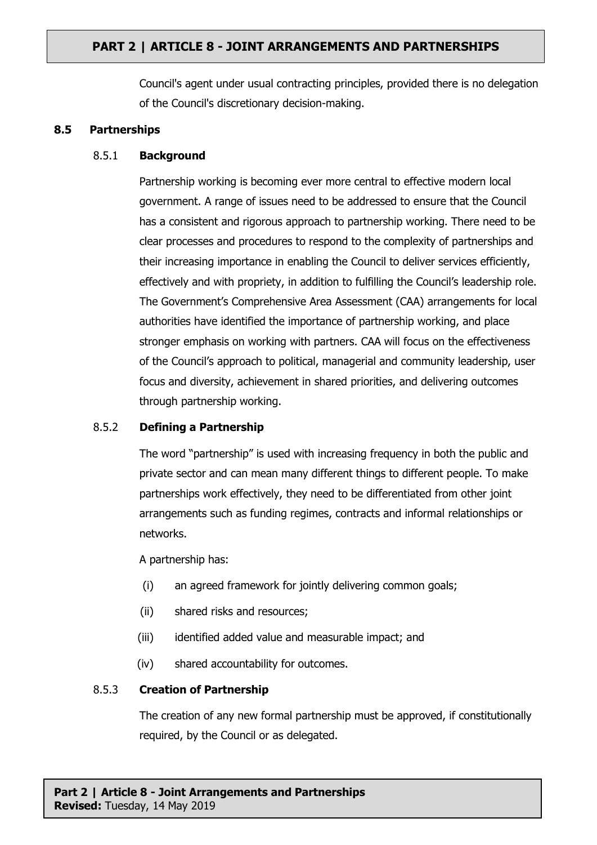# **PART 2 | ARTICLE 8 - JOINT ARRANGEMENTS AND PARTNERSHIPS**

Council's agent under usual contracting principles, provided there is no delegation of the Council's discretionary decision-making.

#### **8.5 Partnerships**

## 8.5.1 **Background**

Partnership working is becoming ever more central to effective modern local government. A range of issues need to be addressed to ensure that the Council has a consistent and rigorous approach to partnership working. There need to be clear processes and procedures to respond to the complexity of partnerships and their increasing importance in enabling the Council to deliver services efficiently, effectively and with propriety, in addition to fulfilling the Council's leadership role. The Government's Comprehensive Area Assessment (CAA) arrangements for local authorities have identified the importance of partnership working, and place stronger emphasis on working with partners. CAA will focus on the effectiveness of the Council's approach to political, managerial and community leadership, user focus and diversity, achievement in shared priorities, and delivering outcomes through partnership working.

## 8.5.2 **Defining a Partnership**

The word "partnership" is used with increasing frequency in both the public and private sector and can mean many different things to different people. To make partnerships work effectively, they need to be differentiated from other joint arrangements such as funding regimes, contracts and informal relationships or networks.

A partnership has:

- (i) an agreed framework for jointly delivering common goals;
- (ii) shared risks and resources;
- (iii) identified added value and measurable impact; and
- (iv) shared accountability for outcomes.

## 8.5.3 **Creation of Partnership**

The creation of any new formal partnership must be approved, if constitutionally required, by the Council or as delegated.